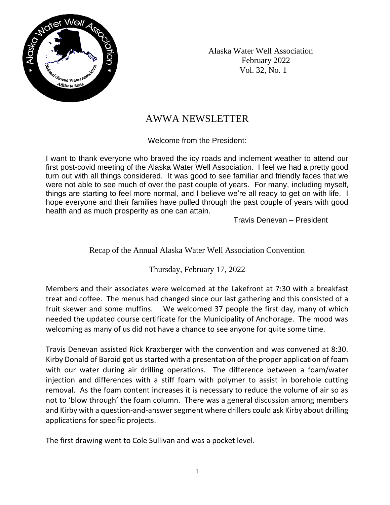

 Alaska Water Well Association February 2022 Vol. 32, No. 1

# AWWA NEWSLETTER

Welcome from the President:

I want to thank everyone who braved the icy roads and inclement weather to attend our first post-covid meeting of the Alaska Water Well Association. I feel we had a pretty good turn out with all things considered. It was good to see familiar and friendly faces that we were not able to see much of over the past couple of years. For many, including myself, things are starting to feel more normal, and I believe we're all ready to get on with life. I hope everyone and their families have pulled through the past couple of years with good health and as much prosperity as one can attain.

Travis Denevan – President

### Recap of the Annual Alaska Water Well Association Convention

Thursday, February 17, 2022

Members and their associates were welcomed at the Lakefront at 7:30 with a breakfast treat and coffee. The menus had changed since our last gathering and this consisted of a fruit skewer and some muffins. We welcomed 37 people the first day, many of which needed the updated course certificate for the Municipality of Anchorage. The mood was welcoming as many of us did not have a chance to see anyone for quite some time.

Travis Denevan assisted Rick Kraxberger with the convention and was convened at 8:30. Kirby Donald of Baroid got us started with a presentation of the proper application of foam with our water during air drilling operations. The difference between a foam/water injection and differences with a stiff foam with polymer to assist in borehole cutting removal. As the foam content increases it is necessary to reduce the volume of air so as not to 'blow through' the foam column. There was a general discussion among members and Kirby with a question-and-answer segment where drillers could ask Kirby about drilling applications for specific projects.

The first drawing went to Cole Sullivan and was a pocket level.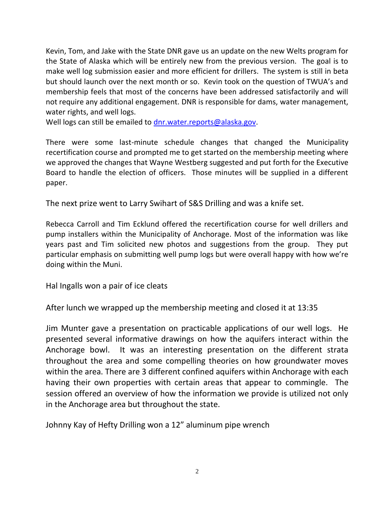Kevin, Tom, and Jake with the State DNR gave us an update on the new Welts program for the State of Alaska which will be entirely new from the previous version. The goal is to make well log submission easier and more efficient for drillers. The system is still in beta but should launch over the next month or so. Kevin took on the question of TWUA's and membership feels that most of the concerns have been addressed satisfactorily and will not require any additional engagement. DNR is responsible for dams, water management, water rights, and well logs.

Well logs can still be emailed to [dnr.water.reports@alaska.gov.](mailto:dnr.water.reports@alaska.gov)

There were some last-minute schedule changes that changed the Municipality recertification course and prompted me to get started on the membership meeting where we approved the changes that Wayne Westberg suggested and put forth for the Executive Board to handle the election of officers. Those minutes will be supplied in a different paper.

The next prize went to Larry Swihart of S&S Drilling and was a knife set.

Rebecca Carroll and Tim Ecklund offered the recertification course for well drillers and pump installers within the Municipality of Anchorage. Most of the information was like years past and Tim solicited new photos and suggestions from the group. They put particular emphasis on submitting well pump logs but were overall happy with how we're doing within the Muni.

Hal Ingalls won a pair of ice cleats

After lunch we wrapped up the membership meeting and closed it at 13:35

Jim Munter gave a presentation on practicable applications of our well logs. He presented several informative drawings on how the aquifers interact within the Anchorage bowl. It was an interesting presentation on the different strata throughout the area and some compelling theories on how groundwater moves within the area. There are 3 different confined aquifers within Anchorage with each having their own properties with certain areas that appear to commingle. The session offered an overview of how the information we provide is utilized not only in the Anchorage area but throughout the state.

Johnny Kay of Hefty Drilling won a 12" aluminum pipe wrench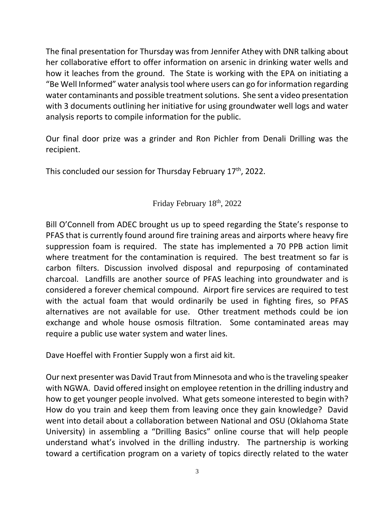The final presentation for Thursday was from Jennifer Athey with DNR talking about her collaborative effort to offer information on arsenic in drinking water wells and how it leaches from the ground. The State is working with the EPA on initiating a "Be Well Informed" water analysis tool where users can go for information regarding water contaminants and possible treatment solutions. She sent a video presentation with 3 documents outlining her initiative for using groundwater well logs and water analysis reports to compile information for the public.

Our final door prize was a grinder and Ron Pichler from Denali Drilling was the recipient.

This concluded our session for Thursday February 17<sup>th</sup>, 2022.

## Friday February 18<sup>th</sup>, 2022

Bill O'Connell from ADEC brought us up to speed regarding the State's response to PFAS that is currently found around fire training areas and airports where heavy fire suppression foam is required. The state has implemented a 70 PPB action limit where treatment for the contamination is required. The best treatment so far is carbon filters. Discussion involved disposal and repurposing of contaminated charcoal. Landfills are another source of PFAS leaching into groundwater and is considered a forever chemical compound. Airport fire services are required to test with the actual foam that would ordinarily be used in fighting fires, so PFAS alternatives are not available for use. Other treatment methods could be ion exchange and whole house osmosis filtration. Some contaminated areas may require a public use water system and water lines.

Dave Hoeffel with Frontier Supply won a first aid kit.

Our next presenter was David Traut from Minnesota and who is the traveling speaker with NGWA. David offered insight on employee retention in the drilling industry and how to get younger people involved. What gets someone interested to begin with? How do you train and keep them from leaving once they gain knowledge? David went into detail about a collaboration between National and OSU (Oklahoma State University) in assembling a "Drilling Basics" online course that will help people understand what's involved in the drilling industry. The partnership is working toward a certification program on a variety of topics directly related to the water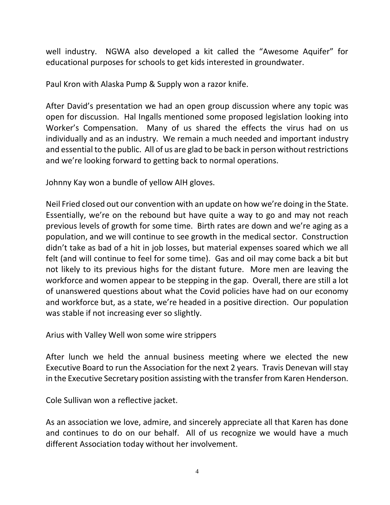well industry. NGWA also developed a kit called the "Awesome Aquifer" for educational purposes for schools to get kids interested in groundwater.

Paul Kron with Alaska Pump & Supply won a razor knife.

After David's presentation we had an open group discussion where any topic was open for discussion. Hal Ingalls mentioned some proposed legislation looking into Worker's Compensation. Many of us shared the effects the virus had on us individually and as an industry. We remain a much needed and important industry and essential to the public. All of us are glad to be back in person without restrictions and we're looking forward to getting back to normal operations.

Johnny Kay won a bundle of yellow AIH gloves.

Neil Fried closed out our convention with an update on how we're doing in the State. Essentially, we're on the rebound but have quite a way to go and may not reach previous levels of growth for some time. Birth rates are down and we're aging as a population, and we will continue to see growth in the medical sector. Construction didn't take as bad of a hit in job losses, but material expenses soared which we all felt (and will continue to feel for some time). Gas and oil may come back a bit but not likely to its previous highs for the distant future. More men are leaving the workforce and women appear to be stepping in the gap. Overall, there are still a lot of unanswered questions about what the Covid policies have had on our economy and workforce but, as a state, we're headed in a positive direction. Our population was stable if not increasing ever so slightly.

Arius with Valley Well won some wire strippers

After lunch we held the annual business meeting where we elected the new Executive Board to run the Association for the next 2 years. Travis Denevan will stay in the Executive Secretary position assisting with the transfer from Karen Henderson.

Cole Sullivan won a reflective jacket.

As an association we love, admire, and sincerely appreciate all that Karen has done and continues to do on our behalf. All of us recognize we would have a much different Association today without her involvement.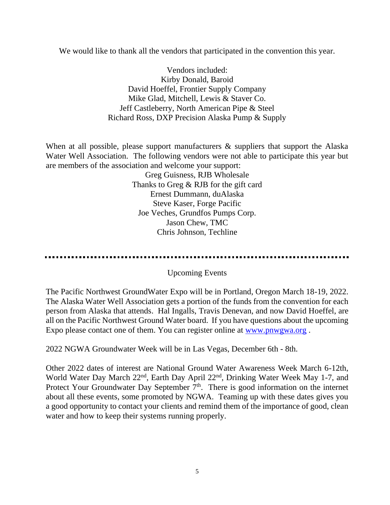We would like to thank all the vendors that participated in the convention this year.

Vendors included: Kirby Donald, Baroid David Hoeffel, Frontier Supply Company Mike Glad, Mitchell, Lewis & Staver Co. Jeff Castleberry, North American Pipe & Steel Richard Ross, DXP Precision Alaska Pump & Supply

When at all possible, please support manufacturers & suppliers that support the Alaska Water Well Association. The following vendors were not able to participate this year but are members of the association and welcome your support:

> Greg Guisness, RJB Wholesale Thanks to Greg & RJB for the gift card Ernest Dummann, duAlaska Steve Kaser, Forge Pacific Joe Veches, Grundfos Pumps Corp. Jason Chew, TMC Chris Johnson, Techline

......................

### Upcoming Events

The Pacific Northwest GroundWater Expo will be in Portland, Oregon March 18-19, 2022. The Alaska Water Well Association gets a portion of the funds from the convention for each person from Alaska that attends. Hal Ingalls, Travis Denevan, and now David Hoeffel, are all on the Pacific Northwest Ground Water board. If you have questions about the upcoming Expo please contact one of them. You can register online at [www.pnwgwa.org](http://www.pnwgwa.org/) .

2022 NGWA Groundwater Week will be in Las Vegas, December 6th - 8th.

Other 2022 dates of interest are National Ground Water Awareness Week March 6-12th, World Water Day March 22<sup>nd</sup>, Earth Day April 22<sup>nd</sup>, Drinking Water Week May 1-7, and Protect Your Groundwater Day September  $7<sup>th</sup>$ . There is good information on the internet about all these events, some promoted by NGWA. Teaming up with these dates gives you a good opportunity to contact your clients and remind them of the importance of good, clean water and how to keep their systems running properly.